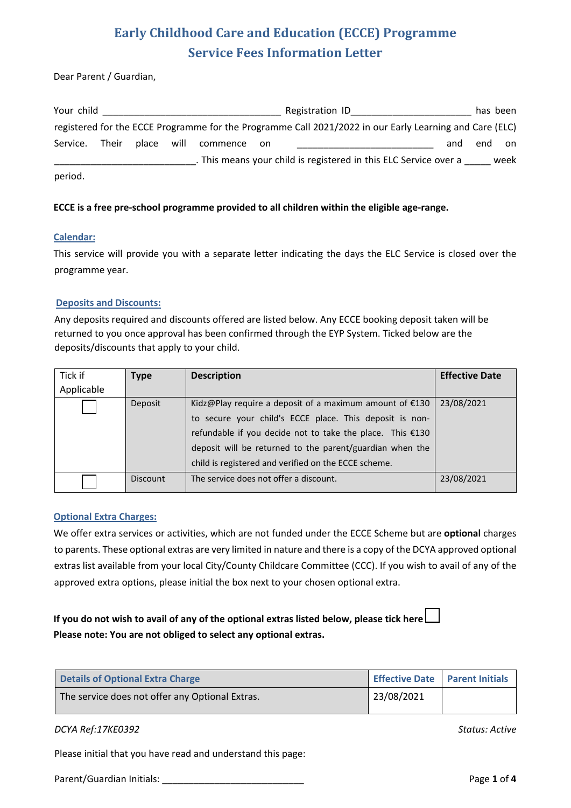Dear Parent / Guardian,

| Your child |       |            |             | Registration ID                                                                                         |     | has been |      |
|------------|-------|------------|-------------|---------------------------------------------------------------------------------------------------------|-----|----------|------|
|            |       |            |             | registered for the ECCE Programme for the Programme Call 2021/2022 in our Early Learning and Care (ELC) |     |          |      |
| Service.   | Their | place will | commence on |                                                                                                         | and | end      | on   |
|            |       |            |             | . This means your child is registered in this ELC Service over a                                        |     |          | week |
| period.    |       |            |             |                                                                                                         |     |          |      |

#### **ECCE is a free pre-school programme provided to all children within the eligible age-range.**

#### **Calendar:**

This service will provide you with a separate letter indicating the days the ELC Service is closed over the programme year.

#### **Deposits and Discounts:**

Any deposits required and discounts offered are listed below. Any ECCE booking deposit taken will be returned to you once approval has been confirmed through the EYP System. Ticked below are the deposits/discounts that apply to your child.

| Tick if    | Type            | <b>Description</b>                                          | <b>Effective Date</b> |
|------------|-----------------|-------------------------------------------------------------|-----------------------|
| Applicable |                 |                                                             |                       |
|            | Deposit         | Kidz@Play require a deposit of a maximum amount of $£130$   | 23/08/2021            |
|            |                 | to secure your child's ECCE place. This deposit is non-     |                       |
|            |                 | refundable if you decide not to take the place. This $£130$ |                       |
|            |                 | deposit will be returned to the parent/guardian when the    |                       |
|            |                 | child is registered and verified on the ECCE scheme.        |                       |
|            | <b>Discount</b> | The service does not offer a discount.                      | 23/08/2021            |

## **Optional Extra Charges:**

We offer extra services or activities, which are not funded under the ECCE Scheme but are **optional** charges to parents. These optional extras are very limited in nature and there is a copy of the DCYA approved optional extras list available from your local City/County Childcare Committee (CCC). If you wish to avail of any of the approved extra options, please initial the box next to your chosen optional extra.

## **If you do not wish to avail of any of the optional extras listed below, please tick here Please note: You are not obliged to select any optional extras.**

| Details of Optional Extra Charge                | Effective Date   Parent Initials |  |
|-------------------------------------------------|----------------------------------|--|
| The service does not offer any Optional Extras. | 23/08/2021                       |  |

## *DCYA Ref:17KE0392 Status: Active*

Please initial that you have read and understand this page:

Parent/Guardian Initials:  $\qquad \qquad$ Page 1 of 4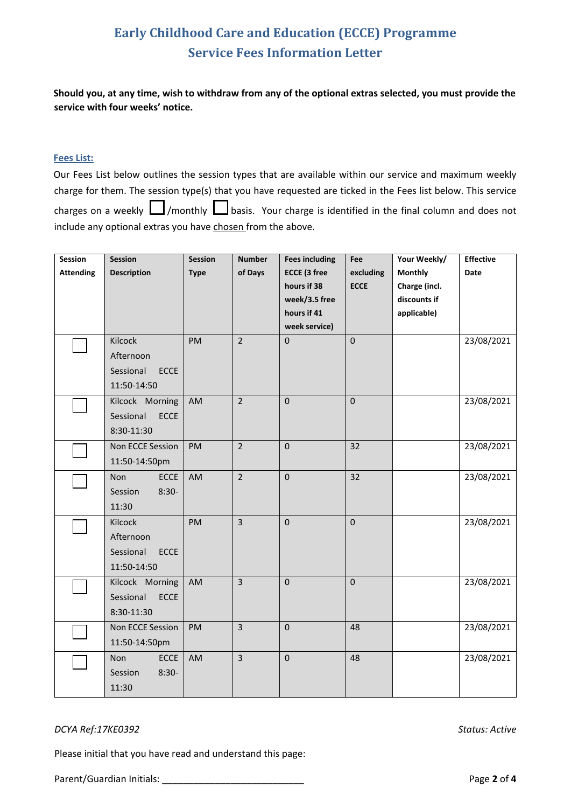**Should you, at any time, wish to withdraw from any of the optional extras selected, you must provide the service with four weeks' notice.**

#### **Fees List:**

Our Fees List below outlines the session types that are available within our service and maximum weekly charge for them. The session type(s) that you have requested are ticked in the Fees list below. This service charges on a weekly  $\Box$ /monthly  $\Box$  basis. Your charge is identified in the final column and does not include any optional extras you have chosen from the above.

| Session          | <b>Session</b>            | <b>Session</b> | <b>Number</b>  | <b>Fees including</b> | Fee         | Your Weekly/   | <b>Effective</b> |
|------------------|---------------------------|----------------|----------------|-----------------------|-------------|----------------|------------------|
| <b>Attending</b> | <b>Description</b>        | <b>Type</b>    | of Days        | <b>ECCE (3 free</b>   | excluding   | <b>Monthly</b> | Date             |
|                  |                           |                |                | hours if 38           | <b>ECCE</b> | Charge (incl.  |                  |
|                  |                           |                |                | week/3.5 free         |             | discounts if   |                  |
|                  |                           |                |                | hours if 41           |             | applicable)    |                  |
|                  |                           |                |                | week service)         |             |                |                  |
|                  | Kilcock                   | PM             | $\overline{2}$ | $\mathbf 0$           | $\pmb{0}$   |                | 23/08/2021       |
|                  | Afternoon                 |                |                |                       |             |                |                  |
|                  | <b>ECCE</b><br>Sessional  |                |                |                       |             |                |                  |
|                  | 11:50-14:50               |                |                |                       |             |                |                  |
|                  | Kilcock Morning           | AM             | $\overline{2}$ | $\mathbf 0$           | $\pmb{0}$   |                | 23/08/2021       |
|                  | Sessional<br>ECCE         |                |                |                       |             |                |                  |
|                  | 8:30-11:30                |                |                |                       |             |                |                  |
|                  | Non ECCE Session          | PM             | $\overline{2}$ | $\mathbf 0$           | 32          |                | 23/08/2021       |
|                  | 11:50-14:50pm             |                |                |                       |             |                |                  |
|                  | <b>ECCE</b><br><b>Non</b> | AM             | $\overline{2}$ | $\mathbf 0$           | 32          |                | 23/08/2021       |
|                  | Session<br>$8:30-$        |                |                |                       |             |                |                  |
|                  | 11:30                     |                |                |                       |             |                |                  |
|                  | Kilcock                   | PM             | $\overline{3}$ | $\pmb{0}$             | $\pmb{0}$   |                | 23/08/2021       |
|                  | Afternoon                 |                |                |                       |             |                |                  |
|                  | Sessional<br><b>ECCE</b>  |                |                |                       |             |                |                  |
|                  | 11:50-14:50               |                |                |                       |             |                |                  |
|                  | Kilcock Morning           | AM             | $\overline{3}$ | $\mathbf 0$           | $\pmb{0}$   |                | 23/08/2021       |
|                  | Sessional<br>ECCE         |                |                |                       |             |                |                  |
|                  | 8:30-11:30                |                |                |                       |             |                |                  |
|                  | Non ECCE Session          | PM             | $\overline{3}$ | $\pmb{0}$             | 48          |                | 23/08/2021       |
|                  | 11:50-14:50pm             |                |                |                       |             |                |                  |
|                  | <b>ECCE</b><br>Non        | AM             | 3              | $\pmb{0}$             | 48          |                | 23/08/2021       |
|                  | $8:30-$<br>Session        |                |                |                       |             |                |                  |
|                  | 11:30                     |                |                |                       |             |                |                  |

#### *DCYA Ref:17KE0392 Status: Active*

Please initial that you have read and understand this page:

Parent/Guardian Initials: \_\_\_\_\_\_\_\_\_\_\_\_\_\_\_\_\_\_\_\_\_\_\_\_\_\_\_ Page **2** of **4**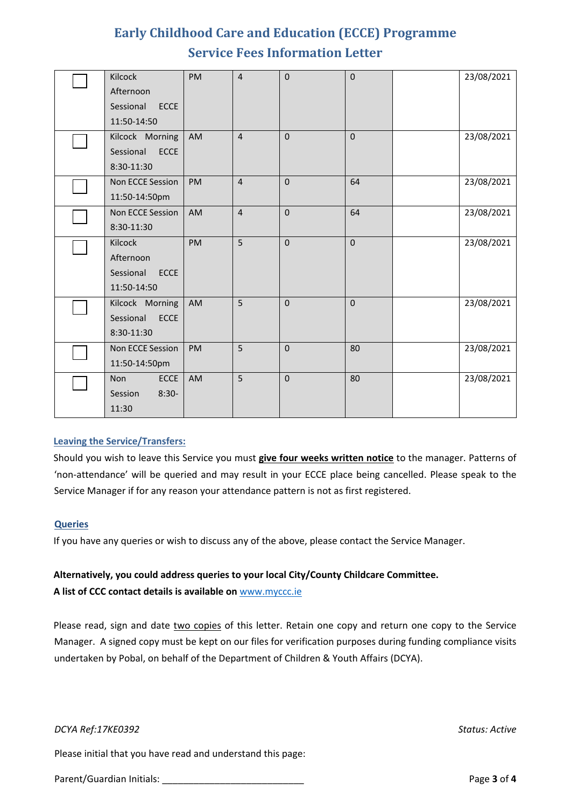| Kilcock                   | PM        | $\overline{4}$ | $\mathbf 0$ | $\mathbf 0$ | 23/08/2021 |
|---------------------------|-----------|----------------|-------------|-------------|------------|
| Afternoon                 |           |                |             |             |            |
| Sessional<br><b>ECCE</b>  |           |                |             |             |            |
| 11:50-14:50               |           |                |             |             |            |
| Kilcock Morning           | AM        | $\overline{4}$ | $\mathbf 0$ | $\pmb{0}$   | 23/08/2021 |
| <b>ECCE</b><br>Sessional  |           |                |             |             |            |
| 8:30-11:30                |           |                |             |             |            |
| Non ECCE Session          | PM        | $\overline{4}$ | $\mathbf 0$ | 64          | 23/08/2021 |
| 11:50-14:50pm             |           |                |             |             |            |
| Non ECCE Session          | AM        | $\overline{4}$ | $\mathbf 0$ | 64          | 23/08/2021 |
| 8:30-11:30                |           |                |             |             |            |
| Kilcock                   | <b>PM</b> | 5              | $\Omega$    | $\mathbf 0$ | 23/08/2021 |
| Afternoon                 |           |                |             |             |            |
| Sessional<br><b>ECCE</b>  |           |                |             |             |            |
| 11:50-14:50               |           |                |             |             |            |
| Kilcock Morning           | AM        | 5              | $\mathbf 0$ | 0           | 23/08/2021 |
| Sessional<br><b>ECCE</b>  |           |                |             |             |            |
| 8:30-11:30                |           |                |             |             |            |
| Non ECCE Session          | PM        | 5              | $\mathbf 0$ | 80          | 23/08/2021 |
| 11:50-14:50pm             |           |                |             |             |            |
| <b>Non</b><br><b>ECCE</b> | AM        | 5              | $\mathbf 0$ | 80          | 23/08/2021 |
| $8:30-$<br>Session        |           |                |             |             |            |
| 11:30                     |           |                |             |             |            |

## **Leaving the Service/Transfers:**

Should you wish to leave this Service you must **give four weeks written notice** to the manager. Patterns of 'non-attendance' will be queried and may result in your ECCE place being cancelled. Please speak to the Service Manager if for any reason your attendance pattern is not as first registered.

#### **Queries**

If you have any queries or wish to discuss any of the above, please contact the Service Manager.

# **Alternatively, you could address queries to your local City/County Childcare Committee.**

**A list of CCC contact details is available on** [www.myccc.ie](http://www.myccc.ie/)

Please read, sign and date two copies of this letter. Retain one copy and return one copy to the Service Manager. A signed copy must be kept on our files for verification purposes during funding compliance visits undertaken by Pobal, on behalf of the Department of Children & Youth Affairs (DCYA).

#### *DCYA Ref:17KE0392 Status: Active*

Please initial that you have read and understand this page:

Parent/Guardian Initials: \_\_\_\_\_\_\_\_\_\_\_\_\_\_\_\_\_\_\_\_\_\_\_\_\_\_\_ Page **3** of **4**